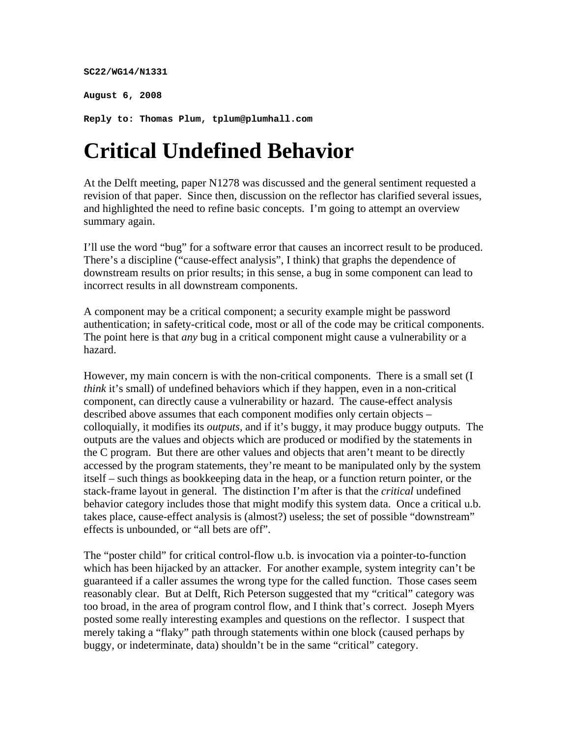#### **SC22/WG14/N1331**

**August 6, 2008** 

**Reply to: Thomas Plum, tplum@plumhall.com** 

# **Critical Undefined Behavior**

At the Delft meeting, paper N1278 was discussed and the general sentiment requested a revision of that paper. Since then, discussion on the reflector has clarified several issues, and highlighted the need to refine basic concepts. I'm going to attempt an overview summary again.

I'll use the word "bug" for a software error that causes an incorrect result to be produced. There's a discipline ("cause-effect analysis", I think) that graphs the dependence of downstream results on prior results; in this sense, a bug in some component can lead to incorrect results in all downstream components.

A component may be a critical component; a security example might be password authentication; in safety-critical code, most or all of the code may be critical components. The point here is that *any* bug in a critical component might cause a vulnerability or a hazard.

However, my main concern is with the non-critical components. There is a small set (I *think* it's small) of undefined behaviors which if they happen, even in a non-critical component, can directly cause a vulnerability or hazard. The cause-effect analysis described above assumes that each component modifies only certain objects – colloquially, it modifies its *outputs,* and if it's buggy, it may produce buggy outputs. The outputs are the values and objects which are produced or modified by the statements in the C program. But there are other values and objects that aren't meant to be directly accessed by the program statements, they're meant to be manipulated only by the system itself – such things as bookkeeping data in the heap, or a function return pointer, or the stack-frame layout in general. The distinction I'm after is that the *critical* undefined behavior category includes those that might modify this system data. Once a critical u.b. takes place, cause-effect analysis is (almost?) useless; the set of possible "downstream" effects is unbounded, or "all bets are off".

The "poster child" for critical control-flow u.b. is invocation via a pointer-to-function which has been hijacked by an attacker. For another example, system integrity can't be guaranteed if a caller assumes the wrong type for the called function. Those cases seem reasonably clear. But at Delft, Rich Peterson suggested that my "critical" category was too broad, in the area of program control flow, and I think that's correct. Joseph Myers posted some really interesting examples and questions on the reflector. I suspect that merely taking a "flaky" path through statements within one block (caused perhaps by buggy, or indeterminate, data) shouldn't be in the same "critical" category.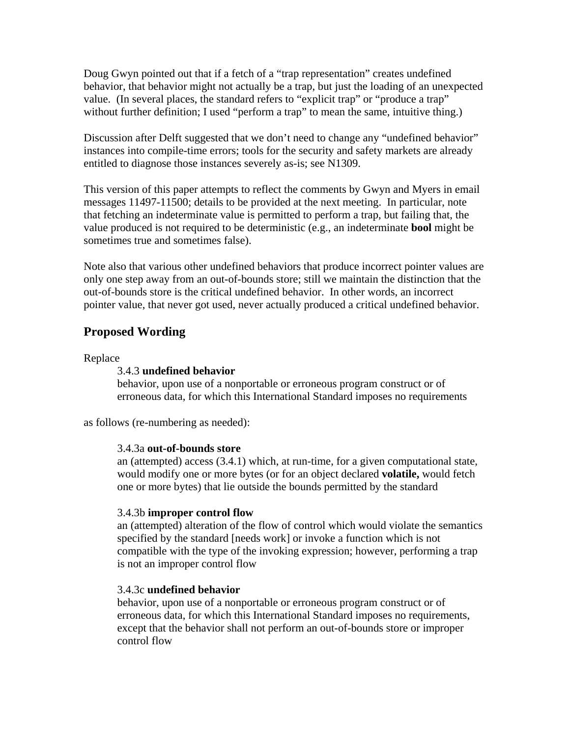Doug Gwyn pointed out that if a fetch of a "trap representation" creates undefined behavior, that behavior might not actually be a trap, but just the loading of an unexpected value. (In several places, the standard refers to "explicit trap" or "produce a trap" without further definition; I used "perform a trap" to mean the same, intuitive thing.)

Discussion after Delft suggested that we don't need to change any "undefined behavior" instances into compile-time errors; tools for the security and safety markets are already entitled to diagnose those instances severely as-is; see N1309.

This version of this paper attempts to reflect the comments by Gwyn and Myers in email messages 11497-11500; details to be provided at the next meeting. In particular, note that fetching an indeterminate value is permitted to perform a trap, but failing that, the value produced is not required to be deterministic (e.g., an indeterminate **bool** might be sometimes true and sometimes false).

Note also that various other undefined behaviors that produce incorrect pointer values are only one step away from an out-of-bounds store; still we maintain the distinction that the out-of-bounds store is the critical undefined behavior. In other words, an incorrect pointer value, that never got used, never actually produced a critical undefined behavior.

## **Proposed Wording**

Replace

#### 3.4.3 **undefined behavior**

behavior, upon use of a nonportable or erroneous program construct or of erroneous data, for which this International Standard imposes no requirements

as follows (re-numbering as needed):

#### 3.4.3a **out-of-bounds store**

an (attempted) access (3.4.1) which, at run-time, for a given computational state, would modify one or more bytes (or for an object declared **volatile,** would fetch one or more bytes) that lie outside the bounds permitted by the standard

#### 3.4.3b **improper control flow**

an (attempted) alteration of the flow of control which would violate the semantics specified by the standard [needs work] or invoke a function which is not compatible with the type of the invoking expression; however, performing a trap is not an improper control flow

#### 3.4.3c **undefined behavior**

behavior, upon use of a nonportable or erroneous program construct or of erroneous data, for which this International Standard imposes no requirements, except that the behavior shall not perform an out-of-bounds store or improper control flow